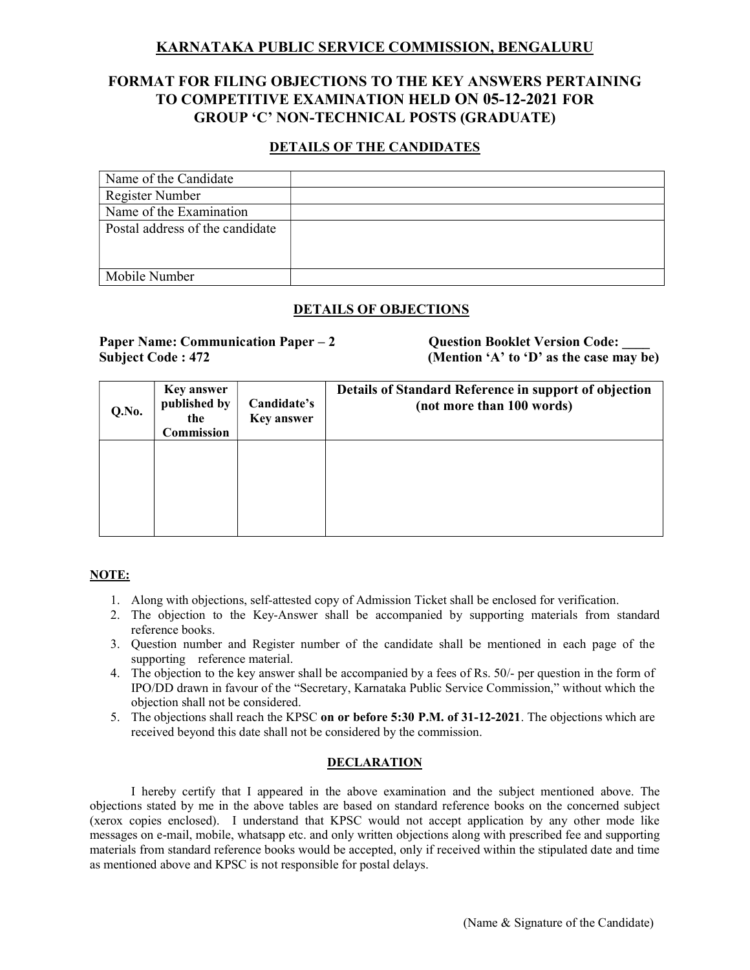# KARNATAKA PUBLIC SERVICE COMMISSION, BENGALURU

# FORMAT FOR FILING OBJECTIONS TO THE KEY ANSWERS PERTAINING TO COMPETITIVE EXAMINATION HELD ON 05-12-2021 FOR GROUP 'C' NON-TECHNICAL POSTS (GRADUATE)

# DETAILS OF THE CANDIDATES

| Name of the Candidate           |  |
|---------------------------------|--|
| Register Number                 |  |
| Name of the Examination         |  |
| Postal address of the candidate |  |
|                                 |  |
|                                 |  |
| Mobile Number                   |  |

# DETAILS OF OBJECTIONS

## Paper Name: Communication Paper – 2 Question Booklet Version Code: Subject Code : 472 (Mention 'A' to 'D' as the case may be)

| Q.No. | <b>Key answer</b><br>published by<br>the<br>Commission | Candidate's<br><b>Key answer</b> | Details of Standard Reference in support of objection<br>(not more than 100 words) |
|-------|--------------------------------------------------------|----------------------------------|------------------------------------------------------------------------------------|
|       |                                                        |                                  |                                                                                    |

### NOTE:

- 1. Along with objections, self-attested copy of Admission Ticket shall be enclosed for verification.
- 2. The objection to the Key-Answer shall be accompanied by supporting materials from standard reference books.
- 3. Question number and Register number of the candidate shall be mentioned in each page of the supporting reference material.
- 4. The objection to the key answer shall be accompanied by a fees of Rs. 50/- per question in the form of IPO/DD drawn in favour of the "Secretary, Karnataka Public Service Commission," without which the objection shall not be considered.
- 5. The objections shall reach the KPSC on or before 5:30 P.M. of 31-12-2021. The objections which are received beyond this date shall not be considered by the commission.

#### DECLARATION

 I hereby certify that I appeared in the above examination and the subject mentioned above. The objections stated by me in the above tables are based on standard reference books on the concerned subject (xerox copies enclosed). I understand that KPSC would not accept application by any other mode like messages on e-mail, mobile, whatsapp etc. and only written objections along with prescribed fee and supporting materials from standard reference books would be accepted, only if received within the stipulated date and time as mentioned above and KPSC is not responsible for postal delays.